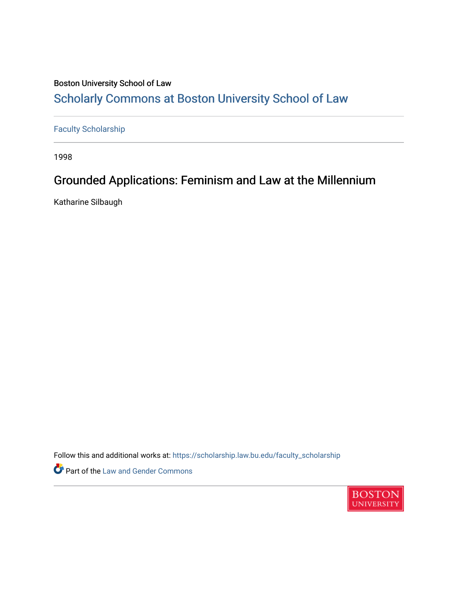# Boston University School of Law [Scholarly Commons at Boston University School of Law](https://scholarship.law.bu.edu/)

# [Faculty Scholarship](https://scholarship.law.bu.edu/faculty_scholarship)

1998

# Grounded Applications: Feminism and Law at the Millennium

Katharine Silbaugh

Follow this and additional works at: [https://scholarship.law.bu.edu/faculty\\_scholarship](https://scholarship.law.bu.edu/faculty_scholarship?utm_source=scholarship.law.bu.edu%2Ffaculty_scholarship%2F1674&utm_medium=PDF&utm_campaign=PDFCoverPages)

Part of the [Law and Gender Commons](http://network.bepress.com/hgg/discipline/1298?utm_source=scholarship.law.bu.edu%2Ffaculty_scholarship%2F1674&utm_medium=PDF&utm_campaign=PDFCoverPages) 

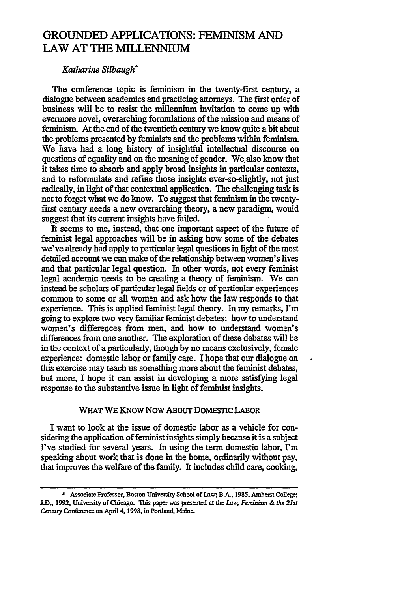# GROUNDED APPLICATIONS: FEMINISM **AND** LAW AT **THE M[LLENNUM**

## *Katharine Silbaugh°*

The conference topic is feminism in the twenty-first century, a dialogue between academics and practicing attorneys. The first order of business will be to resist the millennium invitation to come up with evermore novel, overarching formulations of the mission and means of feminism. At the end of the twentieth century we know quite a bit about the problems presented by feminists and the problems within feminism. We have had a long history of insightful intellectual discourse on questions of equality and on the meaning of gender. We also know that it takes time to absorb and apply broad insights in particular contexts, and to reformulate and refine those insights ever-so-slightly, not just radically, in light of that contextual application. The challenging task is not to forget what we do know. To suggest that feminism in the twentyfirst century needs a new overarching theory, a new paradigm, would suggest that its current insights have failed.

It seems to me, instead, that one important aspect of the future of feminist legal approaches will be in asking how some of the debates we've already had apply to particular legal questions in light of the most detailed account we can make of the relationship between women's lives and that particular legal question. In other words, not every feminist legal academic needs to be creating a theory of feminism. We can instead be scholars of particular legal fields or of particular experiences common to some or all women and ask how the law responds to that experience. This is applied feminist legal theory. In my remarks,  $\Gamma$ m going to explore two very familiar feminist debates: how to understand women's differences from men, and how to understand women's differences from one another. The exploration of these debates **will** be in the context of a particularly, though by no means exclusively, female experience: domestic labor or family care. I hope that our dialogue on this exercise may teach us something more about the feminist debates, but more, I hope it can assist in developing a more satisfying legal response to the substantive issue in light of feminist insights.

## WHAT WE KNOW NOW ABOUT DOMESTIC LABOR

I want to look at the issue of domestic labor as a vehicle for considering the application of feminist insights simply because it is a subject I've studied for several years. In using the term domestic labor,  $\Gamma$ m speaking about work that is done in the home, ordinarily without pay, that improves the welfare of the family. It includes child **care,** cooking,

<sup>\*</sup> Associate Professor, Boston University School of Law; B.A., 1985, Amherst College; **J.D., 1992, University of Chicago. This paper was presented at the** *Law***, Feminism & the 21st** *Centuay* Conference on **April** 4,1998, in Portland, Maine.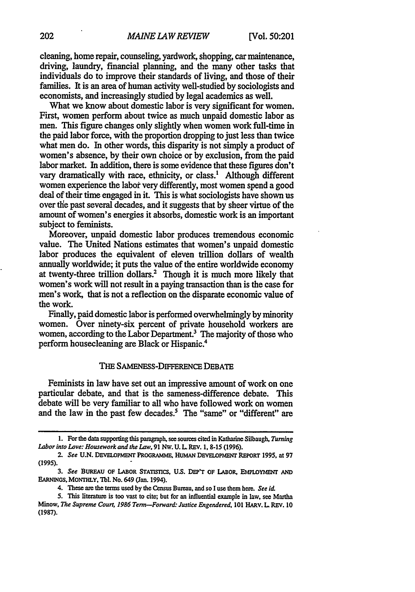cleaning, home repair, counseling, yardwork, shopping, car maintenance, driving, laundry, financial planning, and the many other tasks that individuals do to improve their standards of living, and those of their families. It is an area of human activity well-studied by sociologists and economists, and increasingly studied by legal academics as well.

What we know about domestic labor is very significant for women. First, women perform about twice as much unpaid domestic labor as men. This figure changes only slightly when women work full-time in the paid labor force, with the proportion dropping to just less than twice what men do. In other words, this disparity is not simply a product of women's absence, by their own choice or by exclusion, from the paid labor market. In addition, there is some evidence that these figures don't vary dramatically with race, ethnicity, or class.' Although different women experience the labor very differently, most women spend a good deal of their time engaged in it. This is what sociologists have shown us over the past several decades, and it suggests that by sheer virtue of the amount of women's energies it absorbs, domestic work is an important subject to feminists.

Moreover, unpaid domestic labor produces tremendous economic value. The United Nations estimates that women's unpaid domestic labor produces the equivalent of eleven trillion dollars of wealth annually worldwide; it puts the value of the entire worldwide economy at twenty-three trillion dollars.<sup>2</sup> Though it is much more likely that women's work will not result in a paying transaction than is the case for men's work, that is not a reflection on the disparate economic value of the work.

Finally, paid domestic labor is performed overwhelmingly by minority women. Over ninety-six percent of private household workers are women, according to the Labor Department.<sup>3</sup> The majority of those who perform housecleaning are Black or Hispanic.4

### **THE** SAMENESS-DIFFERENCE **DEBATE**

Feminists in law have set out an impressive amount of work on one particular debate, and that is the sameness-difference debate. This debate will be very familiar to all who have followed work on women and the law in the past few decades.<sup>5</sup> The "same" or "different" are

**<sup>1.</sup>** For the data supporting this paragraph, see sources cited **in Katharine** Silbaugh, Turning *Labor into Love: Housework and the Law,* 91 **NW. U. L** REV. **1. 8-15 (1996).**

*<sup>2.</sup> See* **U.N. DEVELOPMENT** PROGRAMME, **HuMAN DEVELOPmENT REPORT** 1995, at 97 **(1995).**

*<sup>3.</sup> See* **BUREAU OF LABOR STATLTCS, U.S. DEP'T OF** LABOR, **EMPLOYMmr AND EARNINGS,** MONTHLY, **Tbl. No.** 649 (Jan. 1994).

<sup>4.</sup> **These** are the terms used **by** the Census Bureau, **and** so **I** use them **here.** *See id*

<sup>5.</sup> This literature **is too** vast **to** cite; **but** for **an** influential example in law, see Martha Minow, *The Supreme Court, 1986 Term-Forward. Justice Engendered,* **101 HARV. L REV. 10 (1987).**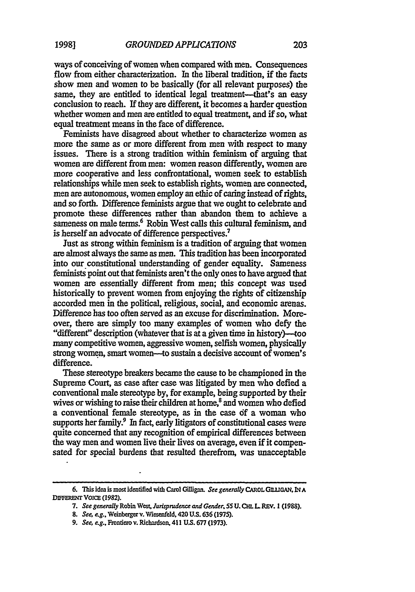ways of conceiving of women when compared with men. Consequences flow from either characterization. In the liberal tradition, if the facts show men and women to be basically (for all relevant purposes) the same, they are entitled to identical legal treatment-that's an easy conclusion to reach. If they are different, it becomes a harder question whether women and men are entitled to equal treatment, and if so, what equal treatment means in the face of difference.

Feminists have disagreed about whether to characterize women as more the same as or more different from men with respect to many issues. There is a strong tradition within feminism of arguing that women are different from men: women reason differently, women are more cooperative and less confrontational, women seek to establish relationships while men seek to establish rights, women are connected, men are autonomous, women employ an ethic of caring instead of rights, and so forth. Difference feminists argue that we ought to celebrate and promote these differences rather than abandon them to achieve a sameness on male terms.<sup>6</sup> Robin West calls this cultural feminism, and is herself an advocate of difference perspectives.7

Just as strong within feminism is a tradition of arguing that women are almost always the same as men. This tradition has been incorporated into our constitutional understanding of gender equality. Sameness feminists point out that feminists aren't the only ones to have argued that women are essentially different from men; this concept was used historically to prevent women from enjoying the rights of citizenship accorded men in the political, religious, social, and economic arenas. Difference has too often served as an excuse for discrimination. Moreover, there are simply too many examples of women who defy the "different" description (whatever that is at a given time in history)-too many competitive women, aggressive women, selfish women, physically strong women, smart women--to sustain a decisive account of women's difference.

These stereotype breakers became the cause to be championed in the Supreme Court, as case after case was litigated by men who defied a conventional male stereotype by, for example, being supported by their wives or wishing to raise their children at home,<sup>8</sup> and women who defied a conventional female stereotype, as in the case of a woman who supports her family. $9\;$  In fact, early litigators of constitutional cases were quite concerned that any recognition of empirical differences between the way men and women live their lives on average, even if it compensated for special burdens that resulted therefrom, was unacceptable

**<sup>6.</sup>** This idea is most identified with **Carol** Giligan. **See generally** CAROL **GII1IGA, N A DIFFERENT VOICE (1982).**

**<sup>7.</sup>** *See generally* Robin West, *Jwrispdence and Gender, 55* **U. Cm.** LREV. **1 (1988).**

*<sup>8.</sup>* See, *e.g.,* Weinbergerv. Wiesefeld, **420 U.S. 636 (1975).**

*<sup>9.</sup> See, eg.,* Frontiero **v.** Richardson, 411 **U.S.** 677 (1973).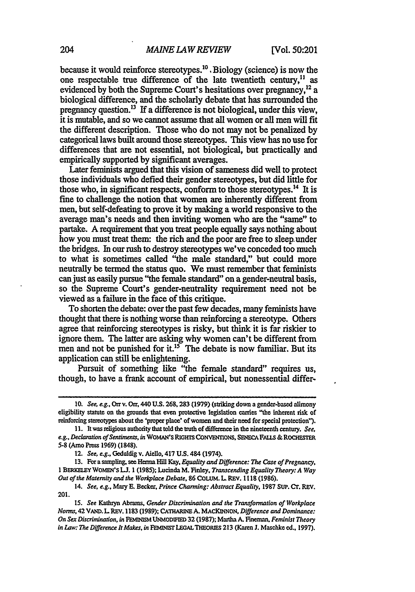because it would reinforce stereotypes.<sup>10</sup> Biology (science) is now the one respectable true difference of the late twentieth century,<sup>11</sup> as evidenced by both the Supreme Court's hesitations over pregnancy,<sup>12</sup> a biological difference, and the scholarly debate that has surrounded the pregnancy question.<sup>13</sup> If a difference is not biological, under this view, it is mutable, and so we cannot assume that all women or all men will fit the different description. Those who do not may not be penalized **by** categorical laws built around those stereotypes. This view has no use for differences that are not essential, not biological, but practically and empirically supported **by** significant averages.

Later feminists argued that this vision of sameness did well to protect those individuals who defied their gender stereotypes, but did little for those who, in significant respects, conform to those stereotypes.<sup>14</sup> It is fine to challenge the notion that women are inherently different from men, but self-defeating to prove it **by** making a world responsive to the average man's needs and then inviting women who are the "same" to partake. **A** requirement that you **treat** people equally says nothing about how you must treat them: the rich and the poor are free to sleep. under the bridges. In our rush to destroy stereotypes we've conceded too much to what is sometimes called "the male standard," but could more neutrally be termed the status quo. We must remember that feminists can just as easily pursue "the female standard" on a gender-neutral basis, so the Supreme Court's gender-neutrality requirement need not be viewed as a failure in the face of this critique.

To shorten the debate: over the past few decades, many feminists have thought that there is nothing worse than reinforcing a stereotype. Others agree that reinforcing stereotypes is risky, but think it is far riskier to ignore them. The latter are asking why women can't be different from men and not be punished for it.<sup>15</sup> The debate is now familiar. But its application can still be enlightening.

Pursuit of something like "the female standard" requires us, though, to have a frank account of empirical, but nonessential differ-

**<sup>10.</sup>** *See, e.g.,* **Orr v. Orr, 440 U.S. 268,283 (1979)** (striking **down** a gender-based alimony eligibility statute on the grounds that even protective legislation carries "the inherent risk of reinforcing stereotypes about the 'proper place' of women and their need for special protection!).

**<sup>11.</sup>** It was religious authority that told the truth of difference in the nineteenth century. *See,* e.g., **Declaration of** Sentmenrs, in **WOMAN'S RiGHTS CONVENTIONS, SENECA FAI.LS & ROCHEStER 5-8** (Arno Press **1969) (1848).**

<sup>12.</sup> *See, e.g.,* Geduldig v. **Aiello,** 417 **U.S.** 484 (1974).

**<sup>13.</sup>** For a sampling, see Henna **Hill** Kay, *Equality and Difference: The Case of Pregnancy,* **1** BERELEY **WOMEN'S LJ. 1 (1985);** Lucinda M. Finley, *Transcending Equality Theory: A Way Out of the Maternity and the Workplace Debate,* **86** COLUM. L REV. **1118 (1986).**

<sup>14.</sup> *See, e.g.,* Mary **E.** Becker, *Prince Charming: Abstract Equality,* **1987 SUP.** Cr. REV. **201.**

**<sup>15.</sup>** *See* Kathryn Abrams, *Gender Discrimination and the Transformation of Workplace Nonrs,* **42 V,.ir.L REv. 1183 (1989); CATHARINE A. MACKINON.** *Difference and Dominance: On Sex Discrimination, in FMIW* **UNMODISED 32 (1987); Martha A. Fineman,** *Feminist Theory in Law: The Difference It Makes, in FEMINIST LEGAL THEORIES 213 (Karen J. Maschke ed., 1997).*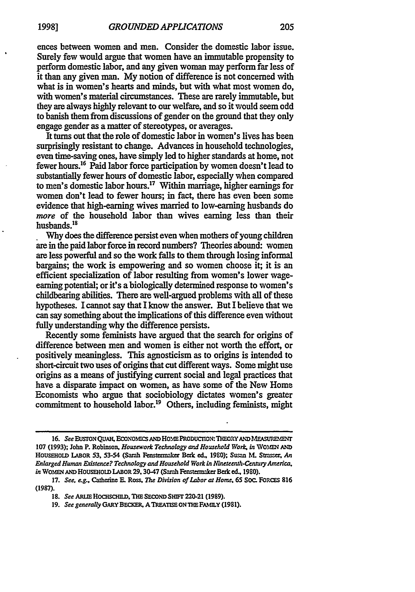ences between women and men. Consider the domestic labor issue. Surely few would argue that women have an immutable propensity to perform domestic labor, and any given woman may perform far less of it than any given man. My notion of difference is not concerned with what is in women's hearts and minds, but with what most women do, with women's material circumstances. These are rarely immutable, but they are always highly relevant to our welfare, and so it would seem odd to banish them from discussions of gender on the ground that they only engage gender as a matter of stereotypes, or averages.

It turns out that the role of domestic labor in women's lives has been surprisingly resistant to change. Advances in household technologies, even time-saving ones, have simply led to higher standards at home, not fewer hours.<sup>16</sup> Paid labor force participation by women doesn't lead to substantially fewer hours of domestic labor, especially when compared to men's domestic labor hours.<sup>17</sup> Within marriage, higher earnings for women don't lead to fewer hours; in fact, there has even been some evidence that high-earning wives married to low-earning husbands do *more* of the household labor than wives earning less than their husbands.<sup>18</sup>

Why does the difference persist even when mothers of young children are in the paid labor force in record numbers? Theories abound: women are less powerful and so the work falls to them through losing informal bargains; the work is empowering and so women choose it; it is an efficient specialization of labor resulting from women's lower wageearning potential; or it's a biologically determined response to women's childbearing abilities. There are well-argued problems with all of these hypotheses. I cannot say that I know the answer. But I believe that we can say something about the implications of this difference even without fully understanding why the difference persists.

Recently some feminists have argued that the search for origins of difference between men and women is either not worth the effort, or positively meaningless. This agnosticism as to origins is intended to short-circuit two uses of origins that cut different ways. Some might use origins as a means of justifying current social and legal practices that have a disparate impact on women, as have some of the New Home Economists who argue that sociobiology dictates women's greater commitment to household labor.<sup>19</sup> Others, including feminists, might

<sup>16.</sup> See EUSTON OUAH, ECONOMICS AND HOME PRODUCTION: THEORY AND MEASUREMENT 107 (1993); John P. Robinson, *Housework Technology and Household Work*, in WOMEN AND HOUSEHOLD LABOR 53, 53-54 (Sarah Fenstermaker Berk ed., 1980); Susan M. Strasser, An *Enlarged Human Existence? Technology and Household Work in NMczeenth-C~mnu Amzrica, in* WOMEN AND HOUSEHOLD LABOR 29, 30-47 (Sarah Fenstermaker Berk ed., 1980).

**<sup>17.</sup>** *See, e.g.,* Catherine *E* Ross. *The Division of Labor at Home.* **65** Soc. FoRc **<sup>816</sup>** (1987).

**<sup>18.</sup>** *See* ARLE HOCSCHI, THE **SECOND** *SHFr* 220-21 **(1989).**

**<sup>19.</sup>** *See generally* GARY BECKER, ATREATSEONTHEFAMLY **(1981).**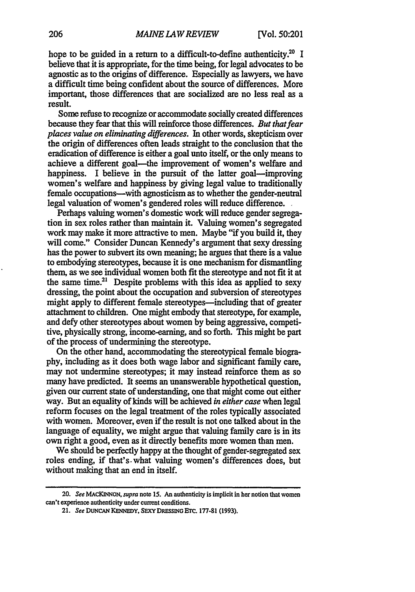hope to be guided in a return to a difficult-to-define authenticity.<sup>20</sup> I believe that it is appropriate, for the time being, for legal advocates to be agnostic as to the origins of difference. Especially as lawyers, we have a difficult time being confident about the source of differences. More important, those differences that are socialized are no less real as a result.

Some refuse to recognize or accommodate socially created differences because they fear that this will reinforce those differences. *But that fear places value on eliminating diferences.* In other words, skepticism over the origin of differences often leads straight to the conclusion that the eradication of difference is either a goal unto itself, or the only means to achieve a different goal--the improvement of women's welfare and happiness. I believe in the pursuit of the latter goal—improving women's welfare and happiness by giving legal value to traditionally female occupations-with agnosticism as to whether the gender-neutral legal valuation of women's gendered roles will reduce difference.

Perhaps valuing women's domestic work will reduce gender segregation in sex roles rather than maintain it. Valuing women's segregated work may make it more attractive to men. Maybe "if you build it, they will come." Consider Duncan Kennedy's argument that sexy dressing has the power to subvert its own meaning; he argues that there is a value to embodying stereotypes, because it is one mechanism for dismantling them, as we see individual women both fit the stereotype and not fit it at the same time.<sup>21</sup> Despite problems with this idea as applied to sexy dressing, the point about the occupation and subversion of stereotypes might apply to different female stereotypes—including that of greater attachment to children. One might embody that stereotype, for example, and defy other stereotypes about women by being aggressive, competitive, physically strong, income-earning, and so forth. This might be part of the process of undermining the stereotype.

On the other hand, accommodating the stereotypical female biography, including as it does both wage labor and significant family care, may not undermine stereotypes; it may instead reinforce them as so many have predicted. It seems an unanswerable hypothetical question, given our current state of understanding, one that might come out either way. But an equality of kinds will be achieved *in either case* when legal reform focuses on the legal treatment of the roles typically associated with women. Moreover, even if the result is not one talked about in the language of equality, we might argue that valuing family care is in its own right a good, even as it directly benefits more women than men.

We should be perfectly happy at the thought of gender-segregated sex roles ending, if that's-what valuing women's differences does, but without making that an end in itself.

**<sup>20.</sup>** *See* **MACKINNON,** *supra* **note 15.** An **authenticity is implicit in her notion that women can't** experience **authenticity** under **current conditions.**

**<sup>21.</sup>** *See* **DUNCAN KENNEDY, SEXY DRESSING ETC. 177-81 (1993).**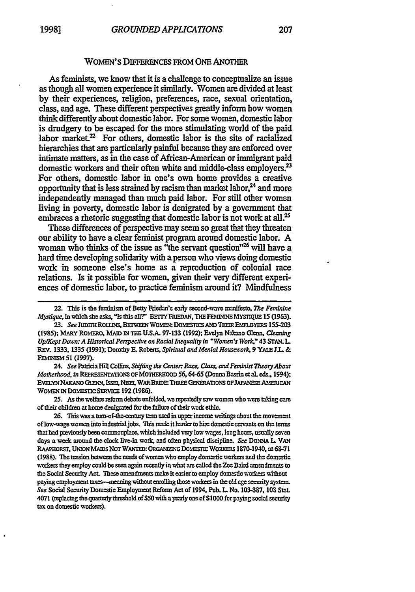### WOMEN'S DIFFERENCES FROM ONE ANOTHER

As feminists, we know that it is a challenge to conceptualize an issue as though all women experience it similarly. Women are divided at least **by** their experiences, religion, preferences, race, sexual orientation, class, and age. These different perspectives greatly inform how women think differently about domestic labor. For some women, domestic labor is drudgery to be escaped for the more stimulating world of the paid labor market. $2^2$  For others, domestic labor is the site of racialized hierarchies that are particularly painful because they are enforced over intimate matters, as in the case of African-American or immigrant paid domestic workers and their often white and middle-class employers.<sup>23</sup> For others, domestic labor in one's own home provides a creative opportunity that is less strained by racism than market labor, $^{24}$  and more independently managed than much paid labor. For still other women living in poverty, domestic labor is denigrated by a government that embraces a rhetoric suggesting that domestic labor is not work at all.<sup>25</sup>

These differences of perspective may seem so great that they threaten our ability to have a clear feminist program around domestic labor. **A** woman who thinks of the issue as "the servant question"<sup>26</sup> will have a hard time developing solidarity with a person who views doing domestic work in someone else's home as a reproduction of colonial race relations. Is it possible for women, given their very different experiences of domestic labor, to practice feminism around it? Mindfulness

24. See Patricia Hill Collins, Shifting the Center: Race, Class, and Feminist Theory About *Motherhood, in* REPRESENTATIONS OFMOTHERHOOD 56,64-65 (Donna Bassinet al. eds., 1994); EVELYN NAKANO GLENN, ISSEI, NISEI, WAR BRIDE: THREE GENERATIONS OF JAPANESE ALAERICAN WOMEN IN DOMESTIC SERVICE 192 (1986).

25. As the welfare reform debate unfolded, we repeatedly saw women who were taking care of their children at home denigrated for the failure of their work ethic.

26. This was a turn-of-the-century term used in upper income writings about the movement of low-wage women into industrial jobs. This made it harder to hire domestic servants on the terms that had previously been commonplace, which included very low wages, long hours, usually seven days a week around the clock live-in work, and often physical discipline. *See DONNA L VAN* RAAPHORST, UNION MAIDS NOT WANTED: ORGANIZING DOMESTIC WORKERS 1870-1940, at 63-71 **(1988).** The tension between the needs of women who employ domestic workers and the domestic woders they employ could be seen again recently in what **are** called the **Zoe** Baird amendments to the Social Security Act. These amendments make it easier to employ domestic workers without paying employment taxes--meaning without enrolling those workers in the old age security system. *See* Social Security Domestic Employment Reform Act **of** 1994. Pub. L No. 103-387, **103** Star. 4071 (replacing the quarterly threshold of \$50 with a yearly one of \$1000 for paying social security tax on domestic workers).

<sup>22.</sup> This is the feminism of Betty Friedan's early second-wave manifesto, *The Feminine Mystique,* in which she asks, "Is this all?" BEITY FRIEDAN, THE FEMININE MYSTIQUE 15 (1963).

**<sup>23.</sup>** See **JUDI-ROUD** , BErWEEN **WONEN: DOMESMCS AND** THEIREMPLOYRS **155-203 (1985);** MARY ROMERO. **MAID IN THE U.SA** 97-133 **(1992);** Evelyn Nakano **Glen,** *Cleaning Up/Kept Down: A Historical Perspective on Racial Inequality in "Women's Work," 43 STAN, L.* REv. 1333,1335 **(1991);** Dorothy E. Roberts, *Spiritual and Menial Houseywork,* **9** *YALE JL.* **&** FEMINISM **51 (1997).**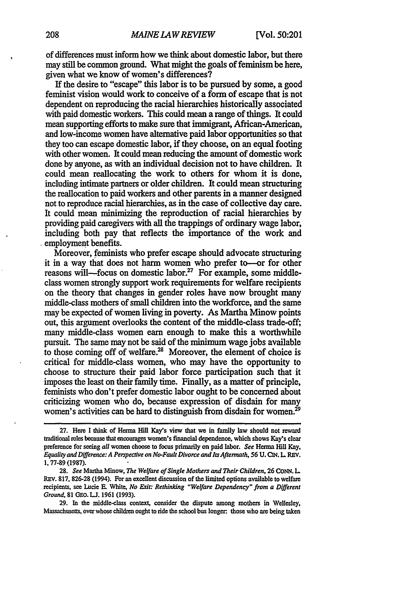of differences must inform how we think about domestic labor, but there may still be common ground. What might the goals of feminism be here, given what we know of women's differences?

If the desire to "escape" this labor is to be pursued by some, a good feminist vision would work to conceive of a form of escape that is not dependent on reproducing the racial hierarchies historically associated with paid domestic workers. This could mean a range of things. It could mean supporting efforts to make sure that immigrant, African-American, and low-income women have alternative paid labor opportunities so that they too can escape domestic labor, if they choose, on an equal footing with other women. It could mean reducing the amount of domestic work done by anyone, as with an individual decision not to have children. It could mean reallocating the work to others for whom it is done, including intimate partners or older children. It could mean structuring the reallocation to paid workers and other parents in a manner designed not to reproduce racial hierarchies, as in the case of collective day care. It could mean minimizing the reproduction of racial hierarchies by providing paid caregivers with all the trappings of ordinary wage labor, including both pay that reflects the importance of the work and employment benefits.

Moreover, feminists who prefer escape should advocate structuring it in a way that does not harm women who prefer to-or for other reasons will—focus on domestic labor.<sup>27</sup> For example, some middleclass women strongly support work requirements for welfare recipients on the theory that changes in gender roles have now brought many middle-class mothers of small children into the workforce, and the same may be expected of women living in poverty. As Martha Minow points out, this argument overlooks the content of the middle-class trade-off; many middle-class women earn enough to make this a worthwhile pursuit. The same may not be said of the minimum wage jobs available to those coming off of welfare.<sup>28</sup> Moreover, the element of choice is critical for middle-class women, who may have the opportunity to choose to structure their paid labor force participation such that it imposes the least on their family time. Finally, as a matter of principle, feminists who don't prefer domestic labor ought to be concerned about criticizing women who do, because expression of disdain for many women's activities can be hard to distinguish from disdain for women.<sup>29</sup>

**29.** In the middle-class context, consider the dispute among mothers in Wellesley, Massachusetts, over whose children ought to ride the school bus longer: those who are being taken

**<sup>27.</sup>** Here **I** think of **Henna** Hill **Kay's** view that we in family law should not reward traditional roles because that encourages women's financial dependence, which shows Kay's clear preference for seeing *all* women choose to focus primarily on paid labor. *See* Henna **Hill Kay,** *Equality and Difference: A Perspective on No-Fault Divorce and Its Aftemath,* **56 U.** ON. L **REV.** 1,77-89(1987).

**<sup>28.</sup>** *See* Martha Minow, *The Welfare of Single Mothers and Their Children,* **26** CoNN. L REV. 817, **826-28** (1994). For an excellent discussion of the limited options available to welfare recipients, see Lucie R White, *No Exit: Rethinking "Welfare Dependency" from a Different Ground,* **81** GO. **LJ.** 1961 (1993).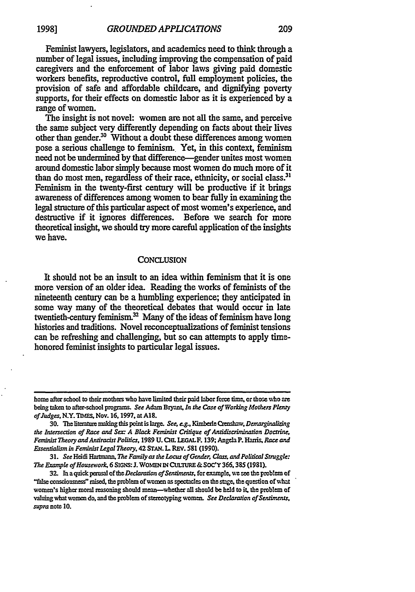**19981**

Feminist lawyers, legislators, and academics need to think through a number of legal issues, including improving the compensation of paid caregivers and the enforcement of labor laws giving paid domestic workers benefits, reproductive control, full employment policies, the provision of safe and affordable childcare, and dignifying poverty supports, for their effects on domestic labor as it is experienced by a range of women.

The insight is not novel: women are not all the same, and perceive the same subject very differently depending on facts about their lives other than gender.<sup>30</sup> Without a doubt these differences among women pose a serious challenge to feminism.. Yet, in this context, feminism need not be undermined by that difference-gender unites most women around domestic labor simply because most women do much more of it than do most men, regardless of their race, ethnicity, or social class.<sup>31</sup> Feminism in the twenty-first century will be productive if it brings awareness of differences among women to bear fully in examining the legal structure of this particular aspect **of** most women's experience, and destructive if it ignores differences. Before we search for more theoretical insight, we should try more careful application of the insights we have.

#### **CONCLUSION**

It should not be an insult to an idea within feminism that it is one more version of an older idea. Reading the works of feminists of the nineteenth century can be a humbling experience; they anticipated in some way many of the theoretical debates that would occur in late twentieth-century feminism. $32$  Many of the ideas of feminism have long histories and traditions. Novel reconceptualizations of feminist tensions can be refreshing and challenging, but so can attempts to apply timehonored feminist insights to particular legal issues.

home after school to their mothers who have limited their paid labor force time, or those who are being taken to after-school programs. *See* Adam Bryant, *In the Case of Working Mothers Plekuy ofludges,* N.Y. TuMs, Nov. **16.1997,** at **Al8.**

<sup>30.</sup> The literature making this point is large. *See, e.g., Kimberle Crenshaw, Demarginalizing the Intesecrion of Race and Sex A Black Feminist Critique of Aruidcrimnaidn Doctrine. Feminist Theory andAntiracist Politics,* **1989 U. CHL LEGALF. 139;** Angela P. Harris. *Race and Essentialism in Feminist Legal Theory,* 42 **STAN.** L REV. **581 (1990).**

**<sup>31.</sup>** *See* Heidi *Haruznan, The Familyas te Locus ofGender C&= andPolical Struggle: The Example ofHousework,* 6 **SIGNS: J. WOMEN IN CULTURE &SOC'Y** 366,385 **(1981).**

<sup>32.</sup> In a quick perusal of the *Declaration of Sentiments*, for example, we see the problem of "false consciousness" raised, the problem of **womm** as spectacles **on** the stage, the question of what women's higher moral reasoning should mean-wether **all** should be **held** to **it,** the problem of valuing what women do, and the problem of stereotyping women. *See Declaration of Sentiments*, *supra* note **10.**